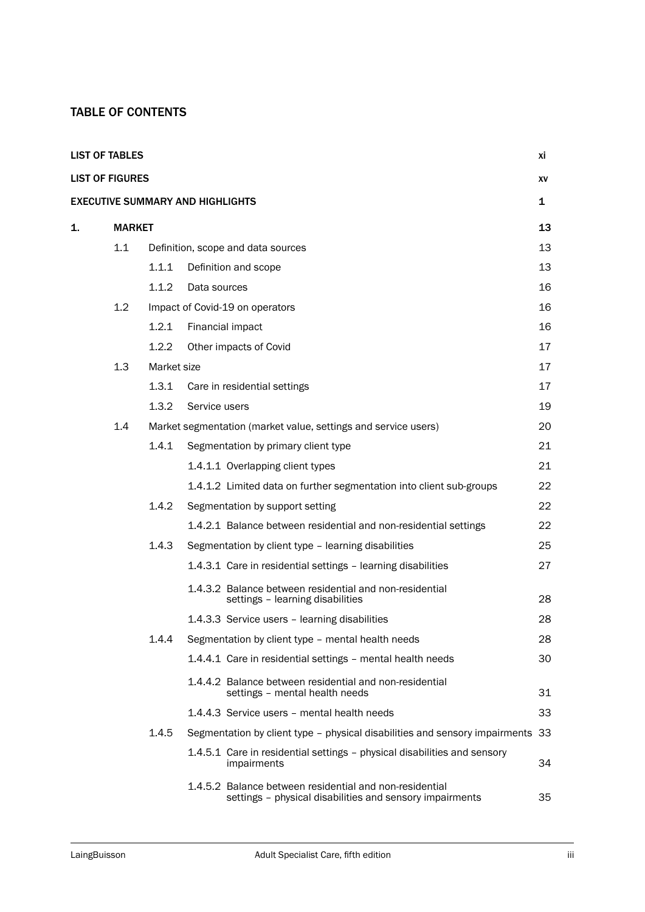## TABLE OF CONTENTS

| <b>LIST OF TABLES</b>  |               |             |                                                                                                                     | хi           |
|------------------------|---------------|-------------|---------------------------------------------------------------------------------------------------------------------|--------------|
| <b>LIST OF FIGURES</b> |               |             |                                                                                                                     | XV           |
|                        |               |             | <b>EXECUTIVE SUMMARY AND HIGHLIGHTS</b>                                                                             | $\mathbf{1}$ |
| 1.                     | <b>MARKET</b> |             |                                                                                                                     | 13           |
|                        | 1.1           |             | Definition, scope and data sources                                                                                  | 13           |
|                        |               | 1.1.1       | Definition and scope                                                                                                | 13           |
|                        |               | 1.1.2       | Data sources                                                                                                        | 16           |
|                        | $1.2^{\circ}$ |             | Impact of Covid-19 on operators                                                                                     | 16           |
|                        |               | 1.2.1       | Financial impact                                                                                                    | 16           |
|                        |               | 1.2.2       | Other impacts of Covid                                                                                              | 17           |
|                        | 1.3           | Market size |                                                                                                                     | 17           |
|                        |               | 1.3.1       | Care in residential settings                                                                                        | 17           |
|                        |               | 1.3.2       | Service users                                                                                                       | 19           |
|                        | 1.4           |             | Market segmentation (market value, settings and service users)                                                      | 20           |
|                        |               | 1.4.1       | Segmentation by primary client type                                                                                 | 21           |
|                        |               |             | 1.4.1.1 Overlapping client types                                                                                    | 21           |
|                        |               |             | 1.4.1.2 Limited data on further segmentation into client sub-groups                                                 | 22           |
|                        |               | 1.4.2       | Segmentation by support setting                                                                                     | 22           |
|                        |               |             | 1.4.2.1 Balance between residential and non-residential settings                                                    | 22           |
|                        |               | 1.4.3       | Segmentation by client type - learning disabilities                                                                 | 25           |
|                        |               |             | 1.4.3.1 Care in residential settings - learning disabilities                                                        | 27           |
|                        |               |             | 1.4.3.2 Balance between residential and non-residential<br>settings - learning disabilities                         | 28           |
|                        |               |             | 1.4.3.3 Service users - learning disabilities                                                                       | 28           |
|                        |               | 1.4.4       | Segmentation by client type - mental health needs                                                                   | 28           |
|                        |               |             | 1.4.4.1 Care in residential settings – mental health needs                                                          | 30           |
|                        |               |             | 1.4.4.2 Balance between residential and non-residential<br>settings - mental health needs                           | 31           |
|                        |               |             | 1.4.4.3 Service users - mental health needs                                                                         | 33           |
|                        |               | 1.4.5       | Segmentation by client type - physical disabilities and sensory impairments                                         | 33           |
|                        |               |             | 1.4.5.1 Care in residential settings – physical disabilities and sensory<br>impairments                             | 34           |
|                        |               |             | 1.4.5.2 Balance between residential and non-residential<br>settings - physical disabilities and sensory impairments | 35           |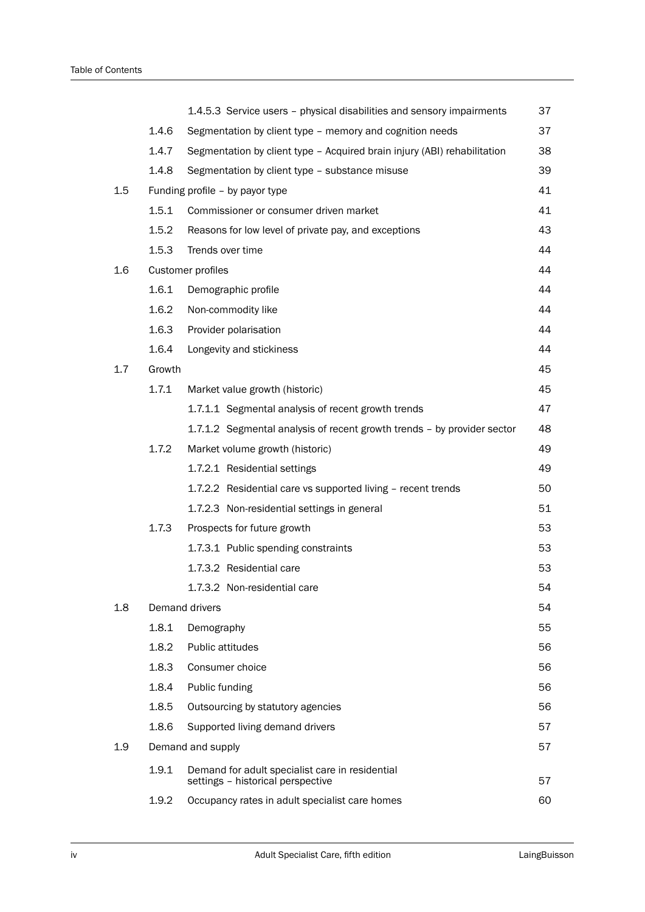|     |        | 1.4.5.3 Service users - physical disabilities and sensory impairments                | 37 |
|-----|--------|--------------------------------------------------------------------------------------|----|
|     | 1.4.6  | Segmentation by client type - memory and cognition needs                             | 37 |
|     | 1.4.7  | Segmentation by client type - Acquired brain injury (ABI) rehabilitation             | 38 |
|     | 1.4.8  | Segmentation by client type - substance misuse                                       | 39 |
| 1.5 |        | Funding profile - by payor type                                                      | 41 |
|     | 1.5.1  | Commissioner or consumer driven market                                               | 41 |
|     | 1.5.2  | Reasons for low level of private pay, and exceptions                                 | 43 |
|     | 1.5.3  | Trends over time                                                                     | 44 |
| 1.6 |        | Customer profiles                                                                    | 44 |
|     | 1.6.1  | Demographic profile                                                                  | 44 |
|     | 1.6.2  | Non-commodity like                                                                   | 44 |
|     | 1.6.3  | Provider polarisation                                                                | 44 |
|     | 1.6.4  | Longevity and stickiness                                                             | 44 |
| 1.7 | Growth |                                                                                      | 45 |
|     | 1.7.1  | Market value growth (historic)                                                       | 45 |
|     |        | 1.7.1.1 Segmental analysis of recent growth trends                                   | 47 |
|     |        | 1.7.1.2 Segmental analysis of recent growth trends - by provider sector              | 48 |
|     | 1.7.2  | Market volume growth (historic)                                                      | 49 |
|     |        | 1.7.2.1 Residential settings                                                         | 49 |
|     |        | 1.7.2.2 Residential care vs supported living - recent trends                         | 50 |
|     |        | 1.7.2.3 Non-residential settings in general                                          | 51 |
|     | 1.7.3  | Prospects for future growth                                                          | 53 |
|     |        | 1.7.3.1 Public spending constraints                                                  | 53 |
|     |        | 1.7.3.2 Residential care                                                             | 53 |
|     |        | 1.7.3.2 Non-residential care                                                         | 54 |
| 1.8 |        | Demand drivers                                                                       | 54 |
|     | 1.8.1  | Demography                                                                           | 55 |
|     | 1.8.2  | Public attitudes                                                                     | 56 |
|     | 1.8.3  | Consumer choice                                                                      | 56 |
|     | 1.8.4  | Public funding                                                                       | 56 |
|     | 1.8.5  | Outsourcing by statutory agencies                                                    | 56 |
|     | 1.8.6  | Supported living demand drivers                                                      | 57 |
| 1.9 |        | Demand and supply                                                                    | 57 |
|     | 1.9.1  | Demand for adult specialist care in residential<br>settings - historical perspective | 57 |
|     | 1.9.2  | Occupancy rates in adult specialist care homes                                       | 60 |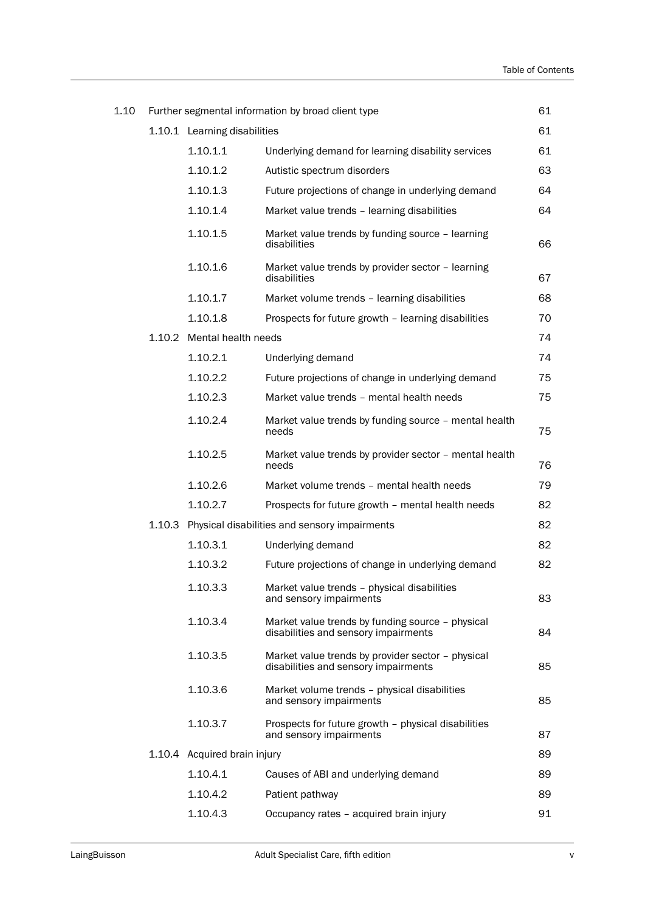| 1.10 |        |                              | Further segmental information by broad client type                                        | 61 |
|------|--------|------------------------------|-------------------------------------------------------------------------------------------|----|
|      |        | 1.10.1 Learning disabilities |                                                                                           | 61 |
|      |        | 1.10.1.1                     | Underlying demand for learning disability services                                        | 61 |
|      |        | 1.10.1.2                     | Autistic spectrum disorders                                                               | 63 |
|      |        | 1.10.1.3                     | Future projections of change in underlying demand                                         | 64 |
|      |        | 1.10.1.4                     | Market value trends - learning disabilities                                               | 64 |
|      |        | 1.10.1.5                     | Market value trends by funding source - learning<br>disabilities                          | 66 |
|      |        | 1.10.1.6                     | Market value trends by provider sector - learning<br>disabilities                         | 67 |
|      |        | 1.10.1.7                     | Market volume trends - learning disabilities                                              | 68 |
|      |        | 1.10.1.8                     | Prospects for future growth - learning disabilities                                       | 70 |
|      |        | 1.10.2 Mental health needs   |                                                                                           | 74 |
|      |        | 1.10.2.1                     | Underlying demand                                                                         | 74 |
|      |        | 1.10.2.2                     | Future projections of change in underlying demand                                         | 75 |
|      |        | 1.10.2.3                     | Market value trends - mental health needs                                                 | 75 |
|      |        | 1.10.2.4                     | Market value trends by funding source - mental health<br>needs                            | 75 |
|      |        | 1.10.2.5                     | Market value trends by provider sector - mental health<br>needs                           | 76 |
|      |        | 1.10.2.6                     | Market volume trends - mental health needs                                                | 79 |
|      |        | 1.10.2.7                     | Prospects for future growth - mental health needs                                         | 82 |
|      | 1.10.3 |                              | Physical disabilities and sensory impairments                                             | 82 |
|      |        | 1.10.3.1                     | Underlying demand                                                                         | 82 |
|      |        | 1.10.3.2                     | Future projections of change in underlying demand                                         | 82 |
|      |        | 1.10.3.3                     | Market value trends - physical disabilities<br>and sensory impairments                    | 83 |
|      |        | 1.10.3.4                     | Market value trends by funding source - physical<br>disabilities and sensory impairments  | 84 |
|      |        | 1.10.3.5                     | Market value trends by provider sector - physical<br>disabilities and sensory impairments | 85 |
|      |        | 1.10.3.6                     | Market volume trends - physical disabilities<br>and sensory impairments                   | 85 |
|      |        | 1.10.3.7                     | Prospects for future growth - physical disabilities<br>and sensory impairments            | 87 |
|      |        | 1.10.4 Acquired brain injury |                                                                                           | 89 |
|      |        | 1.10.4.1                     | Causes of ABI and underlying demand                                                       | 89 |
|      |        | 1.10.4.2                     | Patient pathway                                                                           | 89 |
|      |        | 1.10.4.3                     | Occupancy rates - acquired brain injury                                                   | 91 |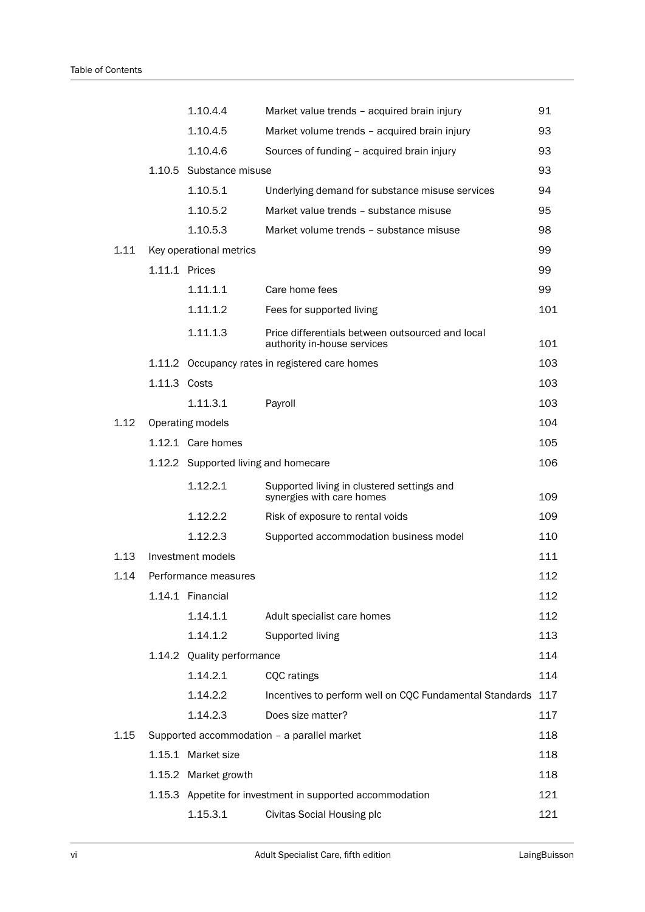|      |               | 1.10.4.4                             | Market value trends - acquired brain injury                                     | 91  |
|------|---------------|--------------------------------------|---------------------------------------------------------------------------------|-----|
|      |               | 1.10.4.5                             | Market volume trends - acquired brain injury                                    | 93  |
|      |               | 1.10.4.6                             | Sources of funding - acquired brain injury                                      | 93  |
|      |               | 1.10.5 Substance misuse              |                                                                                 | 93  |
|      |               | 1.10.5.1                             | Underlying demand for substance misuse services                                 | 94  |
|      |               | 1.10.5.2                             | Market value trends - substance misuse                                          | 95  |
|      |               | 1.10.5.3                             | Market volume trends - substance misuse                                         | 98  |
| 1.11 |               | Key operational metrics              |                                                                                 | 99  |
|      | 1.11.1 Prices |                                      |                                                                                 | 99  |
|      |               | 1.11.1.1                             | Care home fees                                                                  | 99  |
|      |               | 1.11.1.2                             | Fees for supported living                                                       | 101 |
|      |               | 1.11.1.3                             | Price differentials between outsourced and local<br>authority in-house services | 101 |
|      |               |                                      | 1.11.2 Occupancy rates in registered care homes                                 | 103 |
|      | 1.11.3 Costs  |                                      |                                                                                 | 103 |
|      |               | 1.11.3.1                             | Payroll                                                                         | 103 |
| 1.12 |               | Operating models                     |                                                                                 | 104 |
|      |               | 1.12.1 Care homes                    |                                                                                 | 105 |
|      |               | 1.12.2 Supported living and homecare |                                                                                 | 106 |
|      |               | 1.12.2.1                             | Supported living in clustered settings and<br>synergies with care homes         | 109 |
|      |               | 1.12.2.2                             | Risk of exposure to rental voids                                                | 109 |
|      |               | 1.12.2.3                             | Supported accommodation business model                                          | 110 |
| 1.13 |               | Investment models                    |                                                                                 | 111 |
| 1.14 |               | Performance measures                 |                                                                                 | 112 |
|      |               | 1.14.1 Financial                     |                                                                                 | 112 |
|      |               | 1.14.1.1                             | Adult specialist care homes                                                     | 112 |
|      |               | 1.14.1.2                             | Supported living                                                                | 113 |
|      |               | 1.14.2 Quality performance           |                                                                                 | 114 |
|      |               | 1.14.2.1                             | <b>CQC</b> ratings                                                              | 114 |
|      |               | 1.14.2.2                             | Incentives to perform well on CQC Fundamental Standards 117                     |     |
|      |               | 1.14.2.3                             | Does size matter?                                                               | 117 |
| 1.15 |               |                                      | Supported accommodation - a parallel market                                     | 118 |
|      |               | 1.15.1 Market size                   |                                                                                 | 118 |
|      |               | 1.15.2 Market growth                 |                                                                                 | 118 |
|      |               |                                      | 1.15.3 Appetite for investment in supported accommodation                       | 121 |
|      |               | 1.15.3.1                             | Civitas Social Housing plc                                                      | 121 |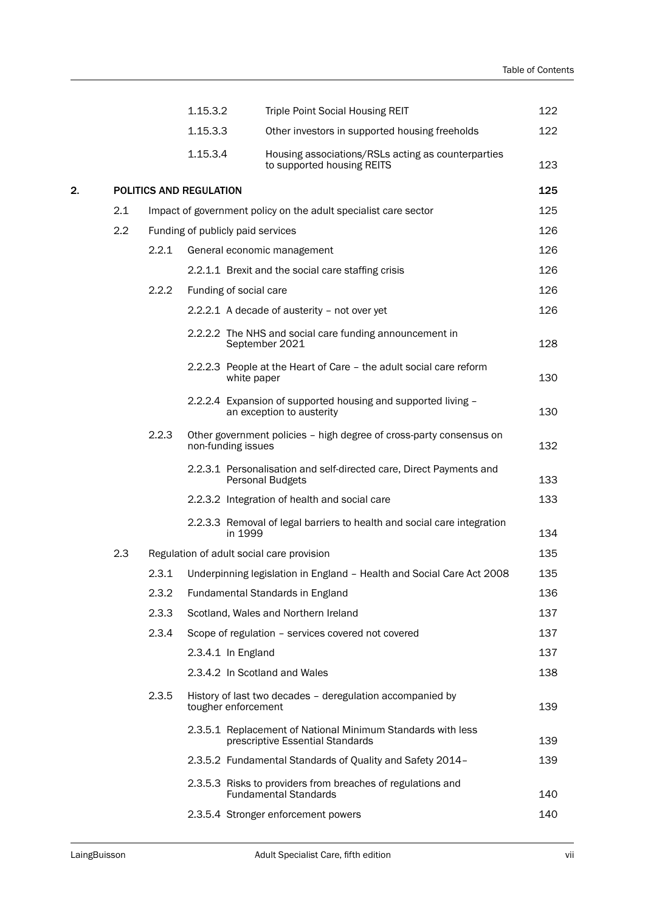|    |     |       | 1.15.3.2                                  | <b>Triple Point Social Housing REIT</b>                                                         | 122 |
|----|-----|-------|-------------------------------------------|-------------------------------------------------------------------------------------------------|-----|
|    |     |       | 1.15.3.3                                  | Other investors in supported housing freeholds                                                  | 122 |
|    |     |       | 1.15.3.4                                  | Housing associations/RSLs acting as counterparties<br>to supported housing REITS                | 123 |
| 2. |     |       | POLITICS AND REGULATION                   |                                                                                                 | 125 |
|    | 2.1 |       |                                           | Impact of government policy on the adult specialist care sector                                 | 125 |
|    | 2.2 |       | Funding of publicly paid services         |                                                                                                 | 126 |
|    |     | 2.2.1 |                                           | General economic management                                                                     | 126 |
|    |     |       |                                           | 2.2.1.1 Brexit and the social care staffing crisis                                              | 126 |
|    |     | 2.2.2 | Funding of social care                    |                                                                                                 | 126 |
|    |     |       |                                           | 2.2.2.1 A decade of austerity - not over yet                                                    | 126 |
|    |     |       |                                           | 2.2.2.2 The NHS and social care funding announcement in<br>September 2021                       | 128 |
|    |     |       | white paper                               | 2.2.2.3 People at the Heart of Care - the adult social care reform                              | 130 |
|    |     |       |                                           | 2.2.2.4 Expansion of supported housing and supported living -<br>an exception to austerity      | 130 |
|    |     | 2.2.3 | non-funding issues                        | Other government policies - high degree of cross-party consensus on                             | 132 |
|    |     |       |                                           | 2.2.3.1 Personalisation and self-directed care, Direct Payments and<br>Personal Budgets         | 133 |
|    |     |       |                                           | 2.2.3.2 Integration of health and social care                                                   | 133 |
|    |     |       | in 1999                                   | 2.2.3.3 Removal of legal barriers to health and social care integration                         | 134 |
|    | 2.3 |       | Regulation of adult social care provision |                                                                                                 | 135 |
|    |     | 2.3.1 |                                           | Underpinning legislation in England - Health and Social Care Act 2008                           | 135 |
|    |     | 2.3.2 |                                           | Fundamental Standards in England                                                                | 136 |
|    |     | 2.3.3 |                                           | Scotland, Wales and Northern Ireland                                                            | 137 |
|    |     | 2.3.4 |                                           | Scope of regulation - services covered not covered                                              | 137 |
|    |     |       | 2.3.4.1 In England                        |                                                                                                 | 137 |
|    |     |       |                                           | 2.3.4.2 In Scotland and Wales                                                                   | 138 |
|    |     | 2.3.5 | tougher enforcement                       | History of last two decades - deregulation accompanied by                                       | 139 |
|    |     |       |                                           | 2.3.5.1 Replacement of National Minimum Standards with less<br>prescriptive Essential Standards | 139 |
|    |     |       |                                           | 2.3.5.2 Fundamental Standards of Quality and Safety 2014-                                       | 139 |
|    |     |       |                                           | 2.3.5.3 Risks to providers from breaches of regulations and<br><b>Fundamental Standards</b>     | 140 |
|    |     |       |                                           | 2.3.5.4 Stronger enforcement powers                                                             | 140 |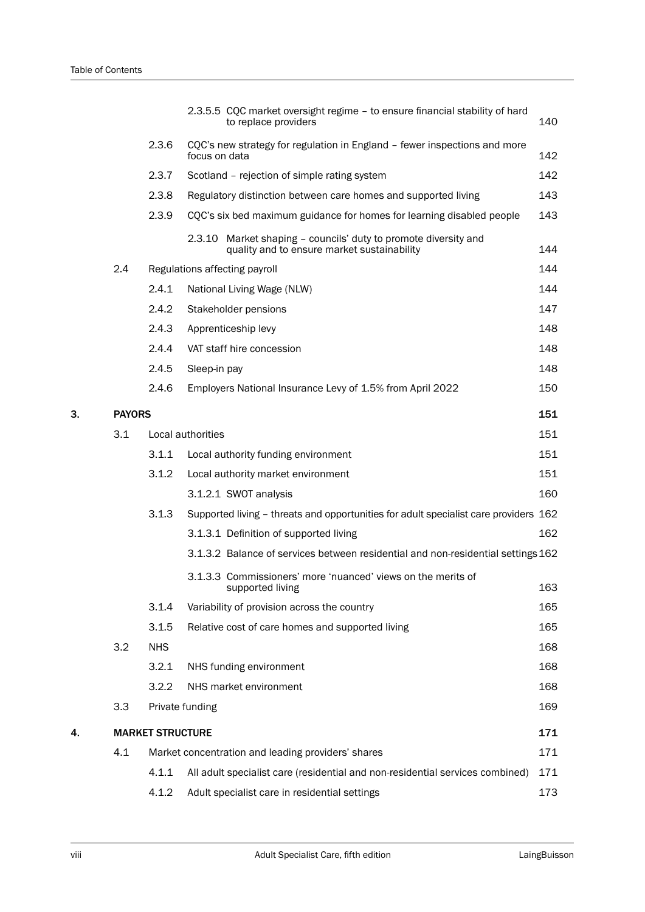|    |               |                         | 2.3.5.5 CQC market oversight regime - to ensure financial stability of hard<br>to replace providers            | 140 |
|----|---------------|-------------------------|----------------------------------------------------------------------------------------------------------------|-----|
|    |               | 2.3.6                   | CQC's new strategy for regulation in England - fewer inspections and more<br>focus on data                     | 142 |
|    |               | 2.3.7                   | Scotland - rejection of simple rating system                                                                   | 142 |
|    |               | 2.3.8                   | Regulatory distinction between care homes and supported living                                                 | 143 |
|    |               | 2.3.9                   | CQC's six bed maximum guidance for homes for learning disabled people                                          | 143 |
|    |               |                         | 2.3.10 Market shaping - councils' duty to promote diversity and<br>quality and to ensure market sustainability | 144 |
|    | 2.4           |                         | Regulations affecting payroll                                                                                  | 144 |
|    |               | 2.4.1                   | National Living Wage (NLW)                                                                                     | 144 |
|    |               | 2.4.2                   | Stakeholder pensions                                                                                           | 147 |
|    |               | 2.4.3                   | Apprenticeship levy                                                                                            | 148 |
|    |               | 2.4.4                   | VAT staff hire concession                                                                                      | 148 |
|    |               | 2.4.5                   | Sleep-in pay                                                                                                   | 148 |
|    |               | 2.4.6                   | Employers National Insurance Levy of 1.5% from April 2022                                                      | 150 |
| 3. | <b>PAYORS</b> |                         |                                                                                                                | 151 |
|    | 3.1           |                         | Local authorities                                                                                              | 151 |
|    |               | 3.1.1                   | Local authority funding environment                                                                            | 151 |
|    |               | 3.1.2                   | Local authority market environment                                                                             | 151 |
|    |               |                         | 3.1.2.1 SWOT analysis                                                                                          | 160 |
|    |               | 3.1.3                   | Supported living - threats and opportunities for adult specialist care providers 162                           |     |
|    |               |                         | 3.1.3.1 Definition of supported living                                                                         | 162 |
|    |               |                         | 3.1.3.2 Balance of services between residential and non-residential settings 162                               |     |
|    |               |                         | 3.1.3.3 Commissioners' more 'nuanced' views on the merits of<br>supported living                               | 163 |
|    |               | 3.1.4                   | Variability of provision across the country                                                                    | 165 |
|    |               | 3.1.5                   | Relative cost of care homes and supported living                                                               | 165 |
|    | 3.2           | <b>NHS</b>              |                                                                                                                | 168 |
|    |               | 3.2.1                   | NHS funding environment                                                                                        | 168 |
|    |               | 3.2.2                   | NHS market environment                                                                                         | 168 |
|    | 3.3           |                         | Private funding                                                                                                | 169 |
| 4. |               | <b>MARKET STRUCTURE</b> |                                                                                                                | 171 |
|    | 4.1           |                         | Market concentration and leading providers' shares                                                             | 171 |
|    |               | 4.1.1                   | All adult specialist care (residential and non-residential services combined)                                  | 171 |
|    |               | 4.1.2                   | Adult specialist care in residential settings                                                                  | 173 |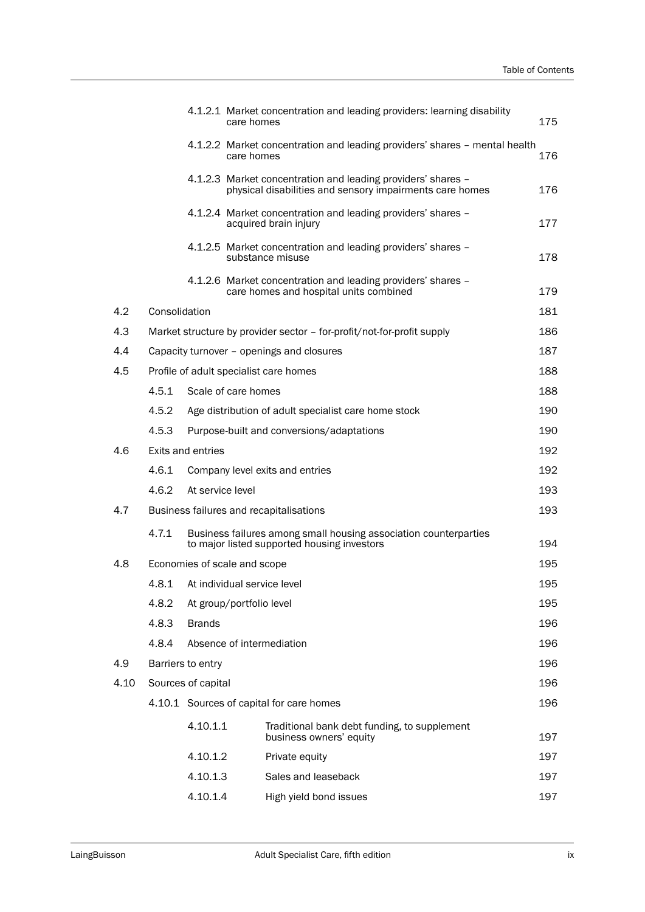|      |               |                              | care homes               | 4.1.2.1 Market concentration and leading providers: learning disability                                                  | 175 |
|------|---------------|------------------------------|--------------------------|--------------------------------------------------------------------------------------------------------------------------|-----|
|      |               |                              | care homes               | 4.1.2.2 Market concentration and leading providers' shares - mental health                                               | 176 |
|      |               |                              |                          | 4.1.2.3 Market concentration and leading providers' shares -<br>physical disabilities and sensory impairments care homes | 176 |
|      |               |                              |                          | 4.1.2.4 Market concentration and leading providers' shares -<br>acquired brain injury                                    | 177 |
|      |               |                              |                          | 4.1.2.5 Market concentration and leading providers' shares -<br>substance misuse                                         | 178 |
|      |               |                              |                          | 4.1.2.6 Market concentration and leading providers' shares -<br>care homes and hospital units combined                   | 179 |
| 4.2  | Consolidation |                              |                          |                                                                                                                          | 181 |
| 4.3  |               |                              |                          | Market structure by provider sector - for-profit/not-for-profit supply                                                   | 186 |
| 4.4  |               |                              |                          | Capacity turnover - openings and closures                                                                                | 187 |
| 4.5  |               |                              |                          | Profile of adult specialist care homes                                                                                   | 188 |
|      | 4.5.1         |                              | Scale of care homes      |                                                                                                                          | 188 |
|      | 4.5.2         |                              |                          | Age distribution of adult specialist care home stock                                                                     | 190 |
|      | 4.5.3         |                              |                          | Purpose-built and conversions/adaptations                                                                                | 190 |
| 4.6  |               | <b>Exits and entries</b>     |                          |                                                                                                                          | 192 |
|      | 4.6.1         |                              |                          | Company level exits and entries                                                                                          | 192 |
|      | 4.6.2         | At service level             |                          |                                                                                                                          | 193 |
| 4.7  |               |                              |                          | Business failures and recapitalisations                                                                                  | 193 |
|      | 4.7.1         |                              |                          | Business failures among small housing association counterparties<br>to major listed supported housing investors          | 194 |
| 4.8  |               | Economies of scale and scope |                          |                                                                                                                          | 195 |
|      | 4.8.1         |                              |                          | At individual service level                                                                                              | 195 |
|      | 4.8.2         |                              | At group/portfolio level |                                                                                                                          | 195 |
|      | 4.8.3         | <b>Brands</b>                |                          |                                                                                                                          | 196 |
|      | 4.8.4         |                              |                          | Absence of intermediation                                                                                                | 196 |
| 4.9  |               | Barriers to entry            |                          |                                                                                                                          | 196 |
| 4.10 |               | Sources of capital           |                          |                                                                                                                          | 196 |
|      |               |                              |                          | 4.10.1 Sources of capital for care homes                                                                                 | 196 |
|      |               | 4.10.1.1                     |                          | Traditional bank debt funding, to supplement<br>business owners' equity                                                  | 197 |
|      |               | 4.10.1.2                     |                          | Private equity                                                                                                           | 197 |
|      |               | 4.10.1.3                     |                          | Sales and leaseback                                                                                                      | 197 |
|      |               | 4.10.1.4                     |                          | High yield bond issues                                                                                                   | 197 |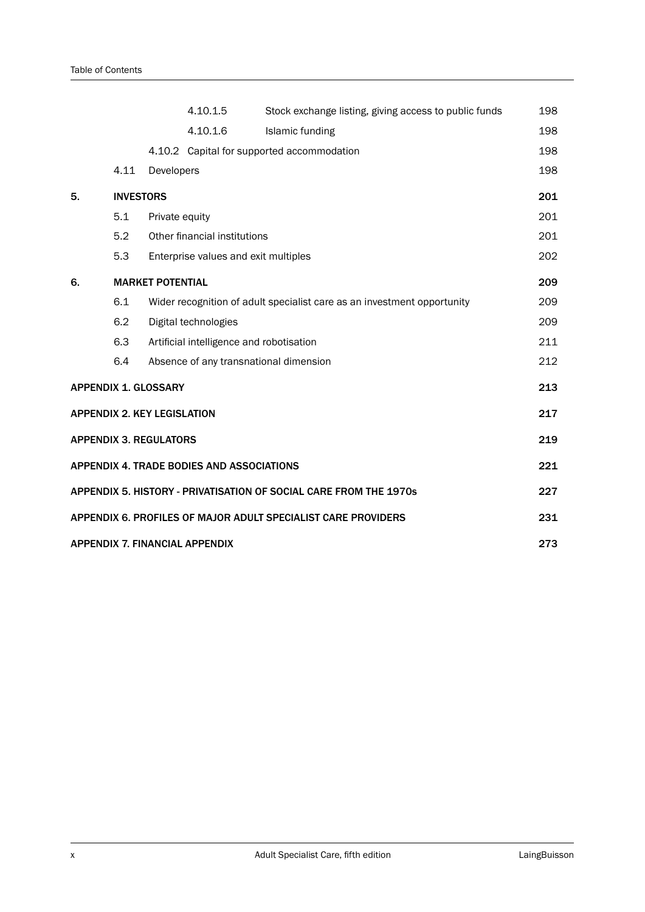|    |                  |                                    | 4.10.1.5                                         | Stock exchange listing, giving access to public funds                   | 198 |
|----|------------------|------------------------------------|--------------------------------------------------|-------------------------------------------------------------------------|-----|
|    |                  |                                    | 4.10.1.6                                         | <b>Islamic funding</b>                                                  | 198 |
|    |                  |                                    |                                                  | 4.10.2 Capital for supported accommodation                              | 198 |
|    | 4.11             | Developers                         |                                                  |                                                                         | 198 |
| 5. | <b>INVESTORS</b> |                                    |                                                  |                                                                         | 201 |
|    | 5.1              | Private equity                     |                                                  |                                                                         | 201 |
|    | 5.2              |                                    | Other financial institutions                     |                                                                         | 201 |
|    | 5.3              |                                    | Enterprise values and exit multiples             |                                                                         | 202 |
| 6. |                  | <b>MARKET POTENTIAL</b>            |                                                  |                                                                         | 209 |
|    | 6.1              |                                    |                                                  | Wider recognition of adult specialist care as an investment opportunity | 209 |
|    | 6.2              |                                    | Digital technologies                             |                                                                         | 209 |
|    | 6.3              |                                    |                                                  | Artificial intelligence and robotisation                                | 211 |
|    | 6.4              |                                    |                                                  | Absence of any transnational dimension                                  | 212 |
|    |                  | <b>APPENDIX 1. GLOSSARY</b>        |                                                  |                                                                         | 213 |
|    |                  | <b>APPENDIX 2. KEY LEGISLATION</b> |                                                  |                                                                         | 217 |
|    |                  | <b>APPENDIX 3. REGULATORS</b>      |                                                  |                                                                         | 219 |
|    |                  |                                    | <b>APPENDIX 4. TRADE BODIES AND ASSOCIATIONS</b> |                                                                         | 221 |
|    |                  |                                    |                                                  | APPENDIX 5. HISTORY - PRIVATISATION OF SOCIAL CARE FROM THE 1970s       | 227 |
|    |                  |                                    |                                                  | APPENDIX 6. PROFILES OF MAJOR ADULT SPECIALIST CARE PROVIDERS           | 231 |
|    |                  |                                    | <b>APPENDIX 7. FINANCIAL APPENDIX</b>            |                                                                         | 273 |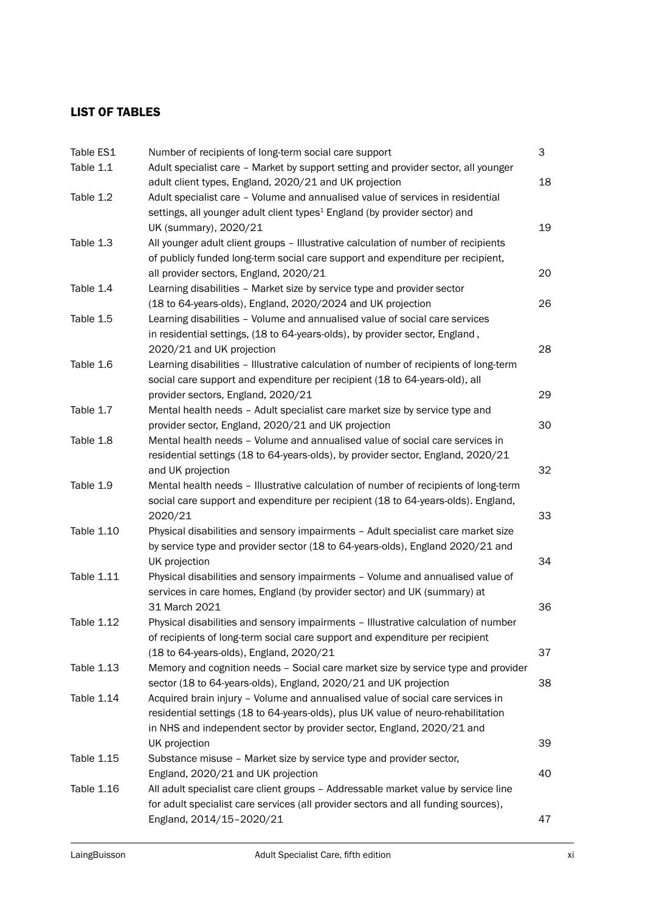## LIST OF TABLES

| Table ES1  | Number of recipients of long-term social care support                                               | 3  |
|------------|-----------------------------------------------------------------------------------------------------|----|
| Table 1.1  | Adult specialist care - Market by support setting and provider sector, all younger                  |    |
|            | adult client types, England, 2020/21 and UK projection                                              | 18 |
| Table 1.2  | Adult specialist care - Volume and annualised value of services in residential                      |    |
|            | settings, all younger adult client types <sup>1</sup> England (by provider sector) and              |    |
|            | UK (summary), 2020/21                                                                               | 19 |
| Table 1.3  | All younger adult client groups - Illustrative calculation of number of recipients                  |    |
|            | of publicly funded long-term social care support and expenditure per recipient,                     |    |
|            | all provider sectors, England, 2020/21                                                              | 20 |
| Table 1.4  | Learning disabilities - Market size by service type and provider sector                             |    |
|            | (18 to 64-years-olds), England, 2020/2024 and UK projection                                         | 26 |
| Table 1.5  | Learning disabilities - Volume and annualised value of social care services                         |    |
|            | in residential settings, (18 to 64-years-olds), by provider sector, England,                        |    |
|            | 2020/21 and UK projection                                                                           | 28 |
| Table 1.6  | Learning disabilities - Illustrative calculation of number of recipients of long-term               |    |
|            | social care support and expenditure per recipient (18 to 64-years-old), all                         |    |
|            | provider sectors, England, 2020/21                                                                  | 29 |
| Table 1.7  | Mental health needs - Adult specialist care market size by service type and                         |    |
|            | provider sector, England, 2020/21 and UK projection                                                 | 30 |
| Table 1.8  | Mental health needs - Volume and annualised value of social care services in                        |    |
|            | residential settings (18 to 64-years-olds), by provider sector, England, 2020/21                    |    |
|            | and UK projection                                                                                   | 32 |
| Table 1.9  | Mental health needs - Illustrative calculation of number of recipients of long-term                 |    |
|            | social care support and expenditure per recipient (18 to 64-years-olds). England,                   |    |
|            | 2020/21                                                                                             | 33 |
| Table 1.10 | Physical disabilities and sensory impairments - Adult specialist care market size                   |    |
|            | by service type and provider sector (18 to 64-years-olds), England 2020/21 and                      |    |
|            | UK projection                                                                                       | 34 |
| Table 1.11 | Physical disabilities and sensory impairments - Volume and annualised value of                      |    |
|            | services in care homes, England (by provider sector) and UK (summary) at                            | 36 |
| Table 1.12 | 31 March 2021<br>Physical disabilities and sensory impairments - Illustrative calculation of number |    |
|            | of recipients of long-term social care support and expenditure per recipient                        |    |
|            | (18 to 64-years-olds), England, 2020/21                                                             | 37 |
| Table 1.13 | Memory and cognition needs - Social care market size by service type and provider                   |    |
|            | sector (18 to 64-years-olds), England, 2020/21 and UK projection                                    | 38 |
| Table 1.14 | Acquired brain injury - Volume and annualised value of social care services in                      |    |
|            | residential settings (18 to 64-years-olds), plus UK value of neuro-rehabilitation                   |    |
|            | in NHS and independent sector by provider sector, England, 2020/21 and                              |    |
|            | UK projection                                                                                       | 39 |
| Table 1.15 | Substance misuse - Market size by service type and provider sector,                                 |    |
|            | England, 2020/21 and UK projection                                                                  | 40 |
| Table 1.16 | All adult specialist care client groups - Addressable market value by service line                  |    |
|            | for adult specialist care services (all provider sectors and all funding sources),                  |    |
|            | England, 2014/15-2020/21                                                                            | 47 |
|            |                                                                                                     |    |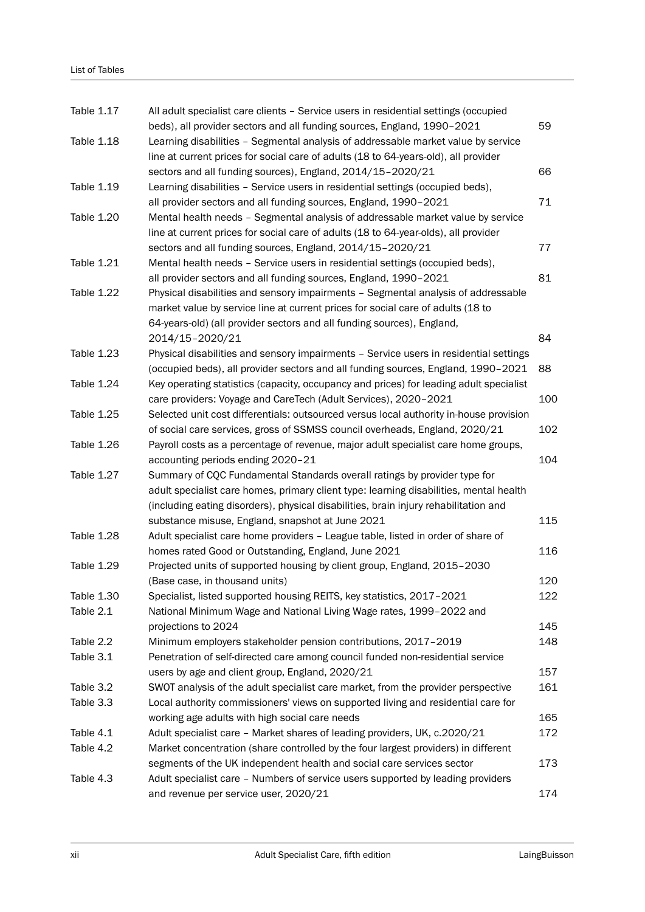| Table 1.17        | All adult specialist care clients - Service users in residential settings (occupied<br>beds), all provider sectors and all funding sources, England, 1990-2021                                                                                                    | 59  |
|-------------------|-------------------------------------------------------------------------------------------------------------------------------------------------------------------------------------------------------------------------------------------------------------------|-----|
| <b>Table 1.18</b> | Learning disabilities - Segmental analysis of addressable market value by service<br>line at current prices for social care of adults (18 to 64-years-old), all provider                                                                                          |     |
|                   | sectors and all funding sources), England, 2014/15-2020/21                                                                                                                                                                                                        | 66  |
| Table 1.19        | Learning disabilities - Service users in residential settings (occupied beds),<br>all provider sectors and all funding sources, England, 1990-2021                                                                                                                | 71  |
| <b>Table 1.20</b> | Mental health needs - Segmental analysis of addressable market value by service<br>line at current prices for social care of adults (18 to 64-year-olds), all provider                                                                                            |     |
|                   | sectors and all funding sources, England, 2014/15-2020/21                                                                                                                                                                                                         | 77  |
| Table 1.21        | Mental health needs - Service users in residential settings (occupied beds),<br>all provider sectors and all funding sources, England, 1990-2021                                                                                                                  | 81  |
| <b>Table 1.22</b> | Physical disabilities and sensory impairments - Segmental analysis of addressable<br>market value by service line at current prices for social care of adults (18 to<br>64-years-old) (all provider sectors and all funding sources), England,<br>2014/15-2020/21 | 84  |
| Table 1.23        | Physical disabilities and sensory impairments - Service users in residential settings                                                                                                                                                                             |     |
|                   | (occupied beds), all provider sectors and all funding sources, England, 1990-2021                                                                                                                                                                                 | 88  |
| Table 1.24        | Key operating statistics (capacity, occupancy and prices) for leading adult specialist<br>care providers: Voyage and CareTech (Adult Services), 2020-2021                                                                                                         | 100 |
| Table 1.25        | Selected unit cost differentials: outsourced versus local authority in-house provision                                                                                                                                                                            |     |
|                   | of social care services, gross of SSMSS council overheads, England, 2020/21                                                                                                                                                                                       | 102 |
| Table 1.26        | Payroll costs as a percentage of revenue, major adult specialist care home groups,<br>accounting periods ending 2020-21                                                                                                                                           | 104 |
| Table 1.27        | Summary of CQC Fundamental Standards overall ratings by provider type for                                                                                                                                                                                         |     |
|                   | adult specialist care homes, primary client type: learning disabilities, mental health                                                                                                                                                                            |     |
|                   | (including eating disorders), physical disabilities, brain injury rehabilitation and                                                                                                                                                                              |     |
|                   | substance misuse, England, snapshot at June 2021                                                                                                                                                                                                                  | 115 |
| Table 1.28        | Adult specialist care home providers - League table, listed in order of share of                                                                                                                                                                                  |     |
|                   | homes rated Good or Outstanding, England, June 2021                                                                                                                                                                                                               | 116 |
| <b>Table 1.29</b> | Projected units of supported housing by client group, England, 2015-2030                                                                                                                                                                                          |     |
|                   | (Base case, in thousand units)                                                                                                                                                                                                                                    | 120 |
| Table 1.30        | Specialist, listed supported housing REITS, key statistics, 2017-2021                                                                                                                                                                                             | 122 |
| Table 2.1         | National Minimum Wage and National Living Wage rates, 1999-2022 and<br>projections to 2024                                                                                                                                                                        | 145 |
| Table 2.2         | Minimum employers stakeholder pension contributions, 2017-2019                                                                                                                                                                                                    | 148 |
| Table 3.1         | Penetration of self-directed care among council funded non-residential service                                                                                                                                                                                    |     |
|                   | users by age and client group, England, 2020/21                                                                                                                                                                                                                   | 157 |
| Table 3.2         | SWOT analysis of the adult specialist care market, from the provider perspective                                                                                                                                                                                  | 161 |
| Table 3.3         | Local authority commissioners' views on supported living and residential care for<br>working age adults with high social care needs                                                                                                                               | 165 |
| Table 4.1         | Adult specialist care - Market shares of leading providers, UK, c.2020/21                                                                                                                                                                                         | 172 |
| Table 4.2         | Market concentration (share controlled by the four largest providers) in different                                                                                                                                                                                |     |
|                   | segments of the UK independent health and social care services sector                                                                                                                                                                                             | 173 |
| Table 4.3         | Adult specialist care - Numbers of service users supported by leading providers                                                                                                                                                                                   |     |
|                   | and revenue per service user, 2020/21                                                                                                                                                                                                                             | 174 |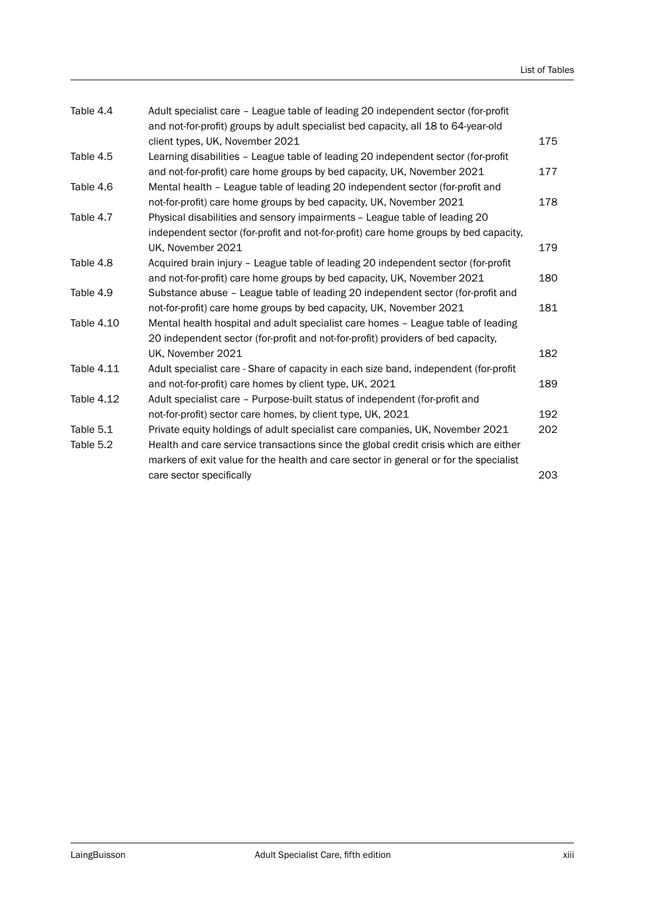| Adult specialist care - League table of leading 20 independent sector (for-profit     |     |
|---------------------------------------------------------------------------------------|-----|
| and not-for-profit) groups by adult specialist bed capacity, all 18 to 64-year-old    |     |
| client types, UK, November 2021                                                       | 175 |
| Learning disabilities - League table of leading 20 independent sector (for-profit     |     |
| and not-for-profit) care home groups by bed capacity, UK, November 2021               | 177 |
| Mental health - League table of leading 20 independent sector (for-profit and         |     |
| not-for-profit) care home groups by bed capacity, UK, November 2021                   | 178 |
| Physical disabilities and sensory impairments - League table of leading 20            |     |
| independent sector (for-profit and not-for-profit) care home groups by bed capacity,  |     |
| UK, November 2021                                                                     | 179 |
| Acquired brain injury - League table of leading 20 independent sector (for-profit     |     |
| and not-for-profit) care home groups by bed capacity, UK, November 2021               | 180 |
| Substance abuse - League table of leading 20 independent sector (for-profit and       |     |
| not-for-profit) care home groups by bed capacity, UK, November 2021                   | 181 |
| Mental health hospital and adult specialist care homes - League table of leading      |     |
| 20 independent sector (for-profit and not-for-profit) providers of bed capacity,      |     |
| UK, November 2021                                                                     | 182 |
| Adult specialist care - Share of capacity in each size band, independent (for-profit  |     |
| and not-for-profit) care homes by client type, UK, 2021                               | 189 |
| Adult specialist care - Purpose-built status of independent (for-profit and           |     |
| not-for-profit) sector care homes, by client type, UK, 2021                           | 192 |
| Private equity holdings of adult specialist care companies, UK, November 2021         | 202 |
| Health and care service transactions since the global credit crisis which are either  |     |
| markers of exit value for the health and care sector in general or for the specialist |     |
| care sector specifically                                                              | 203 |
|                                                                                       |     |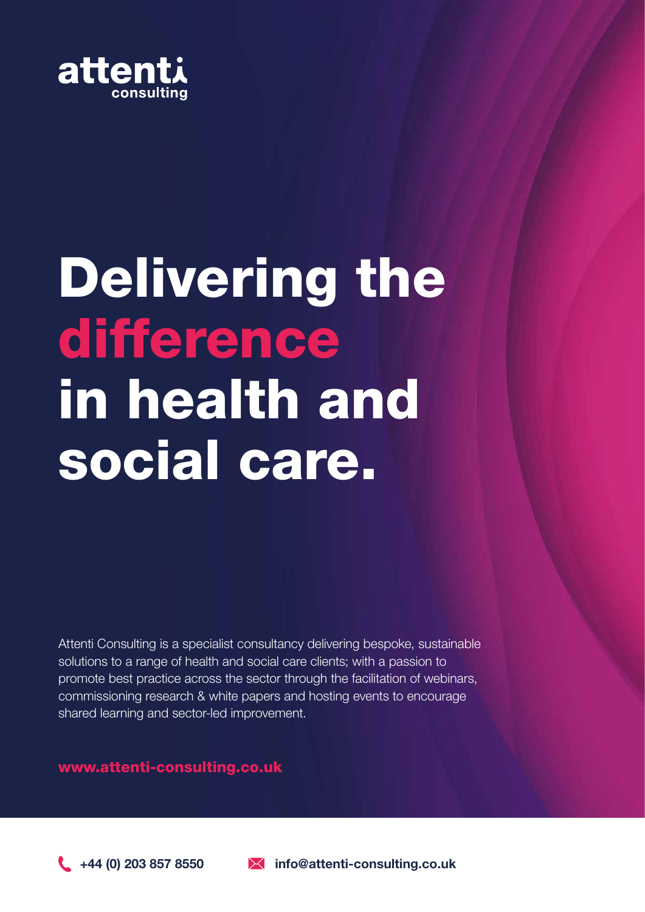

## Delivering the difference in health and social care.

Attenti Consulting is a specialist consultancy delivering bespoke, sustainable solutions to a range of health and social care clients; with a passion to promote best practice across the sector through the facilitation of webinars, commissioning research & white papers and hosting events to encourage shared learning and sector-led improvement.

www.attenti-consulting.co.uk

 $\leftarrow$  +44 (0) 203 857 8550  $\rightarrow$  info@attenti-consulting.co.uk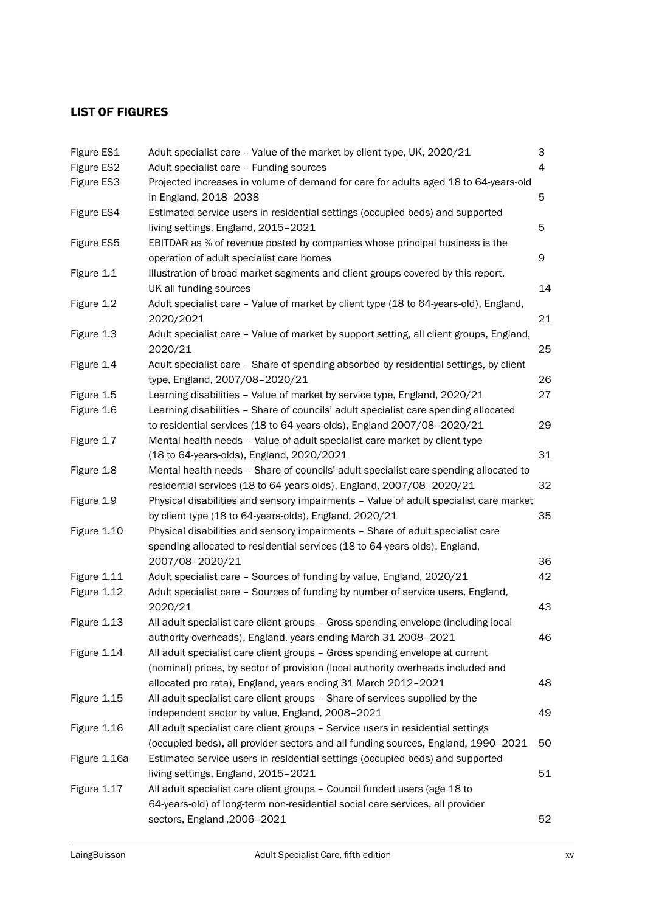## LIST OF FIGURES

| 3                                                                                             |
|-----------------------------------------------------------------------------------------------|
| 4                                                                                             |
| Projected increases in volume of demand for care for adults aged 18 to 64-years-old<br>5      |
| Estimated service users in residential settings (occupied beds) and supported                 |
| 5                                                                                             |
| EBITDAR as % of revenue posted by companies whose principal business is the                   |
| 9                                                                                             |
| Illustration of broad market segments and client groups covered by this report,               |
| 14                                                                                            |
| Adult specialist care - Value of market by client type (18 to 64-years-old), England,<br>21   |
| Adult specialist care - Value of market by support setting, all client groups, England,<br>25 |
| Adult specialist care - Share of spending absorbed by residential settings, by client         |
| 26                                                                                            |
| 27                                                                                            |
| Learning disabilities - Share of councils' adult specialist care spending allocated           |
| 29                                                                                            |
|                                                                                               |
| 31                                                                                            |
| Mental health needs - Share of councils' adult specialist care spending allocated to          |
| 32                                                                                            |
| Physical disabilities and sensory impairments - Value of adult specialist care market         |
| 35                                                                                            |
| Physical disabilities and sensory impairments - Share of adult specialist care                |
|                                                                                               |
| 36                                                                                            |
| 42                                                                                            |
| Adult specialist care - Sources of funding by number of service users, England,               |
| 43                                                                                            |
| All adult specialist care client groups - Gross spending envelope (including local            |
| 46                                                                                            |
|                                                                                               |
| (nominal) prices, by sector of provision (local authority overheads included and              |
| 48                                                                                            |
|                                                                                               |
| 49                                                                                            |
|                                                                                               |
| (occupied beds), all provider sectors and all funding sources, England, 1990-2021<br>50       |
| Estimated service users in residential settings (occupied beds) and supported                 |
| 51                                                                                            |
|                                                                                               |
|                                                                                               |
| 52                                                                                            |
|                                                                                               |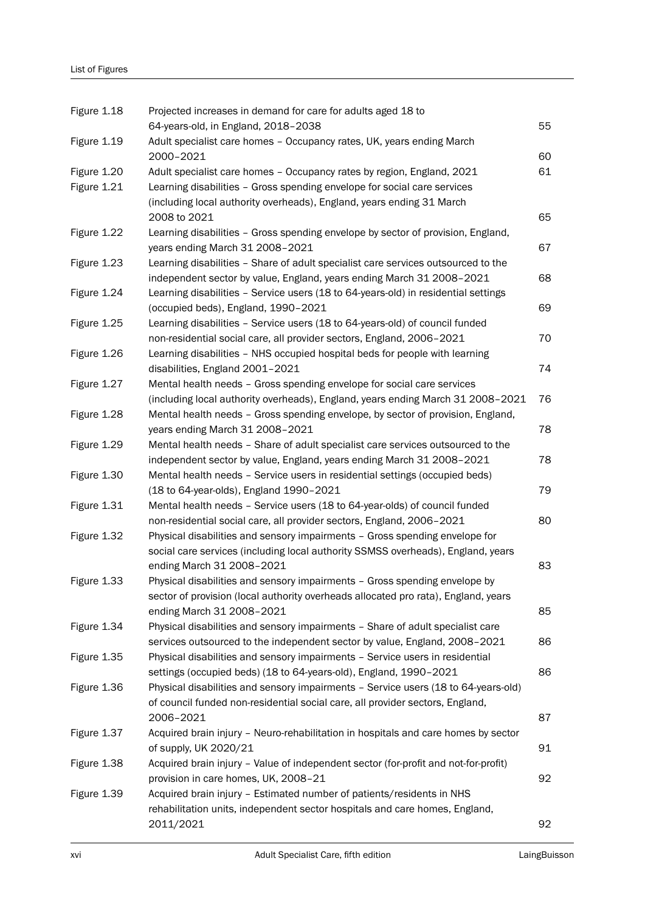| Figure 1.18 | Projected increases in demand for care for adults aged 18 to                        |    |
|-------------|-------------------------------------------------------------------------------------|----|
|             | 64-years-old, in England, 2018-2038                                                 | 55 |
| Figure 1.19 | Adult specialist care homes - Occupancy rates, UK, years ending March               |    |
|             | 2000-2021                                                                           | 60 |
| Figure 1.20 | Adult specialist care homes - Occupancy rates by region, England, 2021              | 61 |
| Figure 1.21 | Learning disabilities - Gross spending envelope for social care services            |    |
|             | (including local authority overheads), England, years ending 31 March               |    |
|             | 2008 to 2021                                                                        | 65 |
| Figure 1.22 | Learning disabilities - Gross spending envelope by sector of provision, England,    |    |
|             | years ending March 31 2008-2021                                                     | 67 |
| Figure 1.23 | Learning disabilities - Share of adult specialist care services outsourced to the   |    |
|             | independent sector by value, England, years ending March 31 2008-2021               | 68 |
| Figure 1.24 | Learning disabilities - Service users (18 to 64-years-old) in residential settings  |    |
|             | (occupied beds), England, 1990-2021                                                 | 69 |
| Figure 1.25 | Learning disabilities - Service users (18 to 64-years-old) of council funded        |    |
|             | non-residential social care, all provider sectors, England, 2006-2021               | 70 |
| Figure 1.26 | Learning disabilities - NHS occupied hospital beds for people with learning         |    |
|             | disabilities, England 2001-2021                                                     | 74 |
| Figure 1.27 | Mental health needs - Gross spending envelope for social care services              |    |
|             | (including local authority overheads), England, years ending March 31 2008-2021     | 76 |
| Figure 1.28 | Mental health needs - Gross spending envelope, by sector of provision, England,     |    |
|             | years ending March 31 2008-2021                                                     | 78 |
| Figure 1.29 | Mental health needs - Share of adult specialist care services outsourced to the     |    |
|             | independent sector by value, England, years ending March 31 2008-2021               | 78 |
| Figure 1.30 | Mental health needs - Service users in residential settings (occupied beds)         |    |
|             | (18 to 64-year-olds), England 1990-2021                                             | 79 |
| Figure 1.31 | Mental health needs - Service users (18 to 64-year-olds) of council funded          |    |
|             | non-residential social care, all provider sectors, England, 2006-2021               | 80 |
| Figure 1.32 | Physical disabilities and sensory impairments - Gross spending envelope for         |    |
|             | social care services (including local authority SSMSS overheads), England, years    |    |
|             | ending March 31 2008-2021                                                           | 83 |
| Figure 1.33 | Physical disabilities and sensory impairments - Gross spending envelope by          |    |
|             | sector of provision (local authority overheads allocated pro rata), England, years  |    |
|             | ending March 31 2008-2021                                                           | 85 |
| Figure 1.34 | Physical disabilities and sensory impairments - Share of adult specialist care      |    |
|             | services outsourced to the independent sector by value, England, 2008-2021          | 86 |
| Figure 1.35 | Physical disabilities and sensory impairments - Service users in residential        |    |
|             | settings (occupied beds) (18 to 64-years-old), England, 1990-2021                   | 86 |
| Figure 1.36 | Physical disabilities and sensory impairments - Service users (18 to 64-years-old)  |    |
|             | of council funded non-residential social care, all provider sectors, England,       |    |
|             | 2006-2021                                                                           | 87 |
| Figure 1.37 | Acquired brain injury - Neuro-rehabilitation in hospitals and care homes by sector  |    |
|             | of supply, UK 2020/21                                                               | 91 |
| Figure 1.38 | Acquired brain injury - Value of independent sector (for-profit and not-for-profit) |    |
|             | provision in care homes, UK, 2008-21                                                | 92 |
| Figure 1.39 | Acquired brain injury - Estimated number of patients/residents in NHS               |    |
|             | rehabilitation units, independent sector hospitals and care homes, England,         |    |
|             | 2011/2021                                                                           | 92 |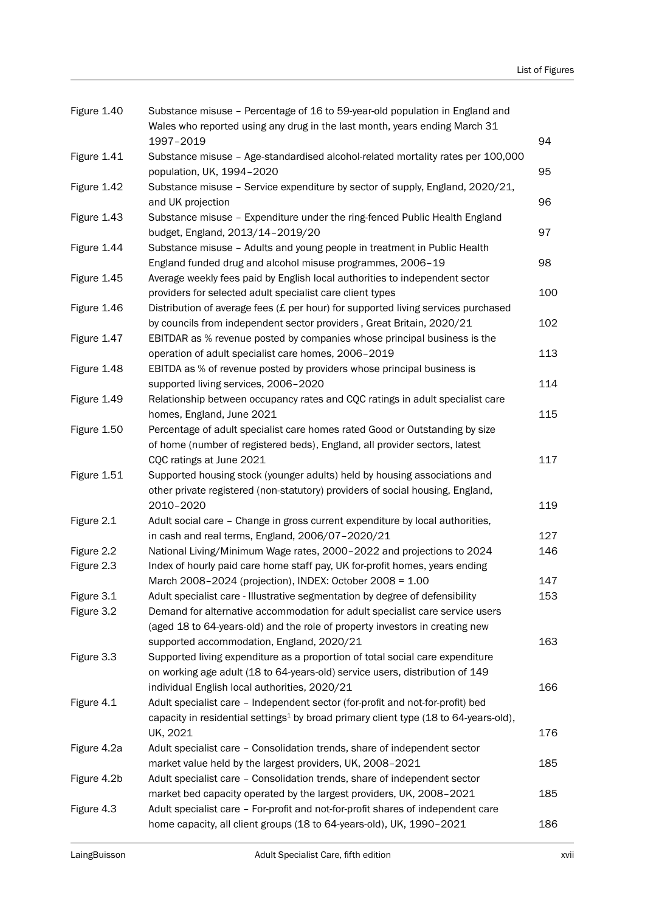| Figure 1.40 | Substance misuse - Percentage of 16 to 59-year-old population in England and                                 |     |
|-------------|--------------------------------------------------------------------------------------------------------------|-----|
|             | Wales who reported using any drug in the last month, years ending March 31                                   |     |
|             | 1997-2019                                                                                                    | 94  |
| Figure 1.41 | Substance misuse - Age-standardised alcohol-related mortality rates per 100,000<br>population, UK, 1994-2020 | 95  |
| Figure 1.42 | Substance misuse - Service expenditure by sector of supply, England, 2020/21,                                |     |
|             | and UK projection                                                                                            | 96  |
| Figure 1.43 | Substance misuse - Expenditure under the ring-fenced Public Health England                                   |     |
|             | budget, England, 2013/14-2019/20                                                                             | 97  |
| Figure 1.44 | Substance misuse - Adults and young people in treatment in Public Health                                     |     |
|             | England funded drug and alcohol misuse programmes, 2006-19                                                   | 98  |
| Figure 1.45 | Average weekly fees paid by English local authorities to independent sector                                  |     |
|             | providers for selected adult specialist care client types                                                    | 100 |
| Figure 1.46 | Distribution of average fees $(E$ per hour) for supported living services purchased                          |     |
|             | by councils from independent sector providers, Great Britain, 2020/21                                        | 102 |
| Figure 1.47 | EBITDAR as % revenue posted by companies whose principal business is the                                     |     |
|             | operation of adult specialist care homes, 2006-2019                                                          | 113 |
| Figure 1.48 | EBITDA as % of revenue posted by providers whose principal business is                                       |     |
|             | supported living services, 2006-2020                                                                         | 114 |
| Figure 1.49 | Relationship between occupancy rates and CQC ratings in adult specialist care                                | 115 |
|             | homes, England, June 2021                                                                                    |     |
| Figure 1.50 | Percentage of adult specialist care homes rated Good or Outstanding by size                                  |     |
|             | of home (number of registered beds), England, all provider sectors, latest<br>CQC ratings at June 2021       | 117 |
| Figure 1.51 | Supported housing stock (younger adults) held by housing associations and                                    |     |
|             | other private registered (non-statutory) providers of social housing, England,                               |     |
|             | 2010-2020                                                                                                    | 119 |
| Figure 2.1  | Adult social care - Change in gross current expenditure by local authorities,                                |     |
|             | in cash and real terms, England, 2006/07-2020/21                                                             | 127 |
| Figure 2.2  | National Living/Minimum Wage rates, 2000-2022 and projections to 2024                                        | 146 |
| Figure 2.3  | Index of hourly paid care home staff pay, UK for-profit homes, years ending                                  |     |
|             | March 2008-2024 (projection), INDEX: October 2008 = 1.00                                                     | 147 |
| Figure 3.1  | Adult specialist care - Illustrative segmentation by degree of defensibility                                 | 153 |
| Figure 3.2  | Demand for alternative accommodation for adult specialist care service users                                 |     |
|             | (aged 18 to 64-years-old) and the role of property investors in creating new                                 |     |
|             | supported accommodation, England, 2020/21                                                                    | 163 |
| Figure 3.3  | Supported living expenditure as a proportion of total social care expenditure                                |     |
|             | on working age adult (18 to 64-years-old) service users, distribution of 149                                 |     |
|             | individual English local authorities, 2020/21                                                                | 166 |
| Figure 4.1  | Adult specialist care - Independent sector (for-profit and not-for-profit) bed                               |     |
|             | capacity in residential settings <sup>1</sup> by broad primary client type (18 to 64-years-old),             |     |
|             | UK, 2021                                                                                                     | 176 |
| Figure 4.2a | Adult specialist care - Consolidation trends, share of independent sector                                    |     |
|             | market value held by the largest providers, UK, 2008-2021                                                    | 185 |
| Figure 4.2b | Adult specialist care - Consolidation trends, share of independent sector                                    |     |
|             | market bed capacity operated by the largest providers, UK, 2008-2021                                         | 185 |
| Figure 4.3  | Adult specialist care - For-profit and not-for-profit shares of independent care                             |     |
|             | home capacity, all client groups (18 to 64-years-old), UK, 1990-2021                                         | 186 |